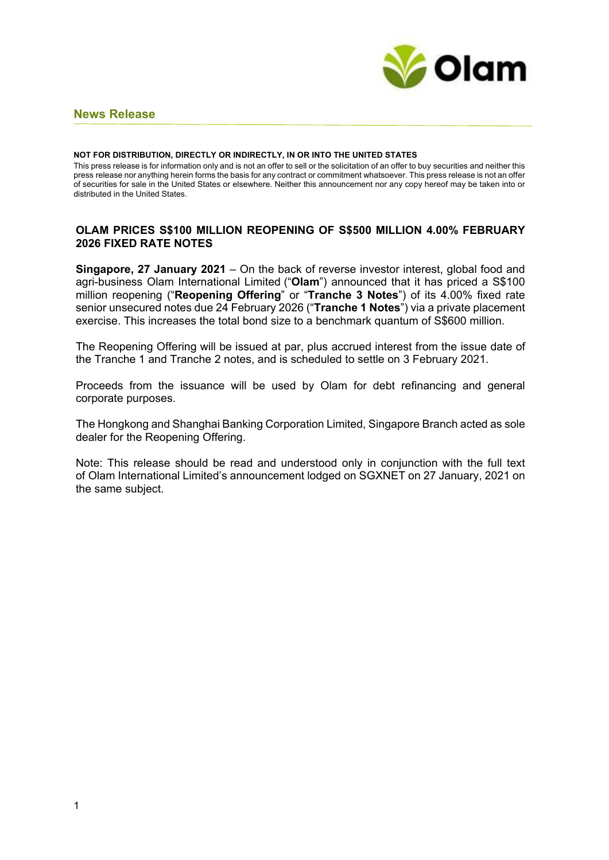

# **News Release**

#### **NOT FOR DISTRIBUTION, DIRECTLY OR INDIRECTLY, IN OR INTO THE UNITED STATES**

This press release is for information only and is not an offer to sell or the solicitation of an offer to buy securities and neither this press release nor anything herein forms the basis for any contract or commitment whatsoever. This press release is not an offer of securities for sale in the United States or elsewhere. Neither this announcement nor any copy hereof may be taken into or distributed in the United States.

# **OLAM PRICES S\$100 MILLION REOPENING OF S\$500 MILLION 4.00% FEBRUARY 2026 FIXED RATE NOTES**

**Singapore, 27 January 2021** – On the back of reverse investor interest, global food and agri-business Olam International Limited ("**Olam**") announced that it has priced a S\$100 million reopening ("**Reopening Offering**" or "**Tranche 3 Notes**") of its 4.00% fixed rate senior unsecured notes due 24 February 2026 ("**Tranche 1 Notes**") via a private placement exercise. This increases the total bond size to a benchmark quantum of S\$600 million.

The Reopening Offering will be issued at par, plus accrued interest from the issue date of the Tranche 1 and Tranche 2 notes, and is scheduled to settle on 3 February 2021.

Proceeds from the issuance will be used by Olam for debt refinancing and general corporate purposes.

The Hongkong and Shanghai Banking Corporation Limited, Singapore Branch acted as sole dealer for the Reopening Offering.

Note: This release should be read and understood only in conjunction with the full text of Olam International Limited's announcement lodged on SGXNET on 27 January, 2021 on the same subject.